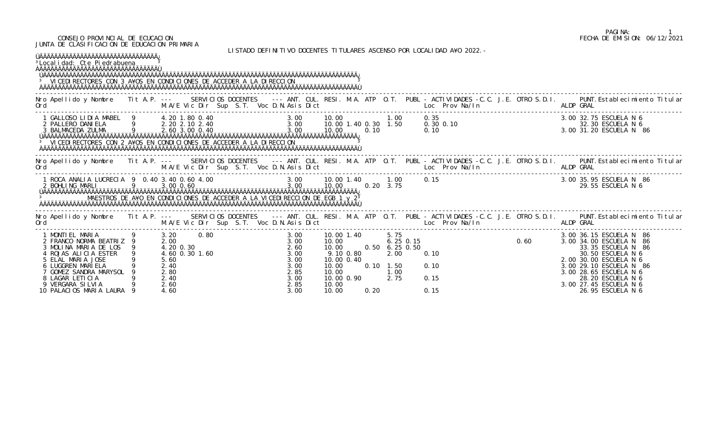## CONSEJO PROVINCIAL DE ECUCACION FECHA DE EMISION: 06/12/2021 JUNTA DE CLASIFICACION DE EDUCACION PRIMARIA

LISTADO DEFINITIVO DOCENTES TITULARES ASCENSO POR LOCALIDAD A¥O 2022.-

| <sup>3</sup> Local i dad: Cte Pi edrabuena<br><sup>3</sup> VI CEDI RECTORES CON 3 A¥OS EN CONDI CI ONES DE ACCEDER A LA DI RECCI ON                                                   |                                                           |                |  |                                                              |                                  |                                       |              |                                                      | LIJIADU DLIINIIIVU DUULNILJ IIIULANLJ AJULNJU FUN LUUALIDAD AŦU ZUZZ.-                  |  |                                                                                                                                                                                                                                                  |
|---------------------------------------------------------------------------------------------------------------------------------------------------------------------------------------|-----------------------------------------------------------|----------------|--|--------------------------------------------------------------|----------------------------------|---------------------------------------|--------------|------------------------------------------------------|-----------------------------------------------------------------------------------------|--|--------------------------------------------------------------------------------------------------------------------------------------------------------------------------------------------------------------------------------------------------|
| Ord                                                                                                                                                                                   |                                                           |                |  |                                                              |                                  |                                       |              |                                                      | M.A/E Vic Dir Sup S.T. Voc D.N.Asis Dict Changes and Many Management of Management M.A. |  | Nro Apellido y Nombre Tit A.P. --- SERVICIOS DOCENTES --- ANT. CUL. RESI. M.A. ATP O.T. PUBL - ACTIVIDADES -C.C. J.E. OTRO S.D.I. PUNT. Establecimiento Titular<br>ALDP GRAL                                                                     |
| <sup>3</sup> VICEDI RECTORES CON 2 A¥OS EN CONDICIONES DE ACCEDER A LA DI RECCION                                                                                                     |                                                           |                |  |                                                              |                                  |                                       |              |                                                      |                                                                                         |  | 3.00 32.75 ESCUELA N 6<br>32.30 ESCUELA N 6<br>3.00 31.20 ESCUELA N 86                                                                                                                                                                           |
| Ord                                                                                                                                                                                   |                                                           |                |  |                                                              |                                  |                                       |              |                                                      | M.A/E Vic Dir Sup S.T. Voc D.N.Asis Dict Loc Prov Na/In ALDP GRAL                       |  | Nro Apellido y Nombre Tit A.P. --- SERVICIOS DOCENTES --- ANT. CUL. RESI. M.A. ATP O.T. PUBL - ACTIVIDADES -C.C. J.E. OTRO S.D.I. PUNT. Establecimiento Titular                                                                                  |
| MAESTROS DE A¥O EN CONDICIONES DE ACCEDER A LA VICEDIRECCION DE EGB 1 y 2 <sup>3</sup>                                                                                                |                                                           |                |  |                                                              |                                  |                                       |              |                                                      | 0.15                                                                                    |  | 3.00 35.95 ESCUELA N 86<br>29.55 ESCUELA N 6                                                                                                                                                                                                     |
| Ord                                                                                                                                                                                   |                                                           |                |  |                                                              |                                  |                                       |              |                                                      | M.A/E Vic Dir Sup S.T. Voc D.N.Asis Dict Loc Prov Na/In Loc Prov Na/In                  |  | Nro Apellido y Nombre Tit A.P. --- SERVICIOS DOCENTES --- ANT. CUL. RESI. M.A. ATP O.T. PUBL - ACTIVIDADES -C.C. J.E. OTRO S.D.I. PUNT. Establecimiento Titular                                                                                  |
| 3 MOLINA MARIA DE LOS 9<br>4 ROJAS ALICIA ESTER<br>5 ELAL MARIA JOSE<br>6 LUGGREN MARIELA<br>7 GOMEZ SANDRA MARYSOL<br>8 LAGAR LETICIA<br>9 VERGARA SILVIA<br>10 PALACIOS MARIA LAURA | 4.20 0.30<br>5.60<br>2.40<br>2.80<br>2.40<br>2.60<br>4.60 | 4.60 0.30 1.60 |  | 2.60<br>3.00<br>3.00<br>3.00<br>2.85<br>3.00<br>2.85<br>3.00 | 10.00<br>10.00<br>10.00<br>10.00 | 9.10 0.80<br>10.00 0.40<br>10.00 0.90 | 0.10<br>0.20 | 10.00 0.50 6.25 0.50<br>2.00<br>1.50<br>1.00<br>2.75 | 0.10<br>0.10<br>0.15<br>0.15                                                            |  | 3.00 36.15 ESCUELA N 86<br>3.00 34.00 ESCUELA N 86<br>33.35 ESCUELA N 86<br>30.50 ESCUELA N 6<br>2.00 30.00 ESCUELA N 6<br>3.00 29.10 ESCUELA N 86<br>3.00 28.65 ESCUELA N 6<br>28.20 ESCUELA N 6<br>3.00 27.45 ESCUELA N 6<br>26.95 ESCUELA N 6 |

## PAGINA: 1<br>FECHA DE EMISION: 06/12/2021